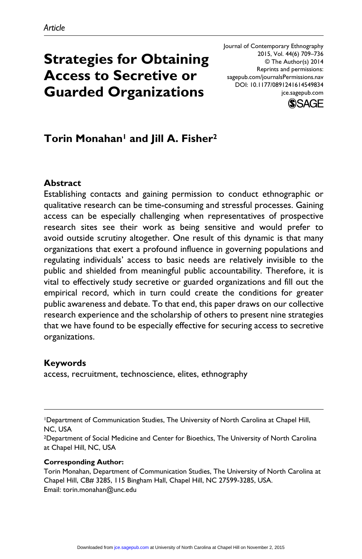# **Strategies for Obtaining Access to Secretive or Guarded Organizations**

Journal of Contemporary Ethnography 2015, Vol. 44(6) 709–736 © The Author(s) 2014 Reprints and permissions: sagepub.com/journalsPermissions.nav DOI: 10.1177/0891241614549834 jce.sagepub.com



# Torin Monahan<sup>1</sup> and Jill A. Fisher<sup>2</sup>

# **Abstract**

Establishing contacts and gaining permission to conduct ethnographic or qualitative research can be time-consuming and stressful processes. Gaining access can be especially challenging when representatives of prospective research sites see their work as being sensitive and would prefer to avoid outside scrutiny altogether. One result of this dynamic is that many organizations that exert a profound influence in governing populations and regulating individuals' access to basic needs are relatively invisible to the public and shielded from meaningful public accountability. Therefore, it is vital to effectively study secretive or guarded organizations and fill out the empirical record, which in turn could create the conditions for greater public awareness and debate. To that end, this paper draws on our collective research experience and the scholarship of others to present nine strategies that we have found to be especially effective for securing access to secretive organizations.

#### **Keywords**

access, recruitment, technoscience, elites, ethnography

1Department of Communication Studies, The University of North Carolina at Chapel Hill, NC, USA

2Department of Social Medicine and Center for Bioethics, The University of North Carolina at Chapel Hill, NC, USA

#### **Corresponding Author:**

Torin Monahan, Department of Communication Studies, The University of North Carolina at Chapel Hill, CB# 3285, 115 Bingham Hall, Chapel Hill, NC 27599-3285, USA. Email: [torin.monahan@unc.edu](mailto:torin.monahan@unc.edu)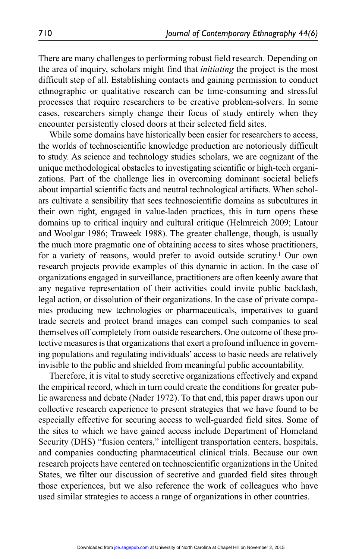There are many challenges to performing robust field research. Depending on the area of inquiry, scholars might find that *initiating* the project is the most difficult step of all. Establishing contacts and gaining permission to conduct ethnographic or qualitative research can be time-consuming and stressful processes that require researchers to be creative problem-solvers. In some cases, researchers simply change their focus of study entirely when they encounter persistently closed doors at their selected field sites.

While some domains have historically been easier for researchers to access, the worlds of technoscientific knowledge production are notoriously difficult to study. As science and technology studies scholars, we are cognizant of the unique methodological obstacles to investigating scientific or high-tech organizations. Part of the challenge lies in overcoming dominant societal beliefs about impartial scientific facts and neutral technological artifacts. When scholars cultivate a sensibility that sees technoscientific domains as subcultures in their own right, engaged in value-laden practices, this in turn opens these domains up to critical inquiry and cultural critique (Helmreich 2009; Latour and Woolgar 1986; Traweek 1988). The greater challenge, though, is usually the much more pragmatic one of obtaining access to sites whose practitioners, for a variety of reasons, would prefer to avoid outside scrutiny.1 Our own research projects provide examples of this dynamic in action. In the case of organizations engaged in surveillance, practitioners are often keenly aware that any negative representation of their activities could invite public backlash, legal action, or dissolution of their organizations. In the case of private companies producing new technologies or pharmaceuticals, imperatives to guard trade secrets and protect brand images can compel such companies to seal themselves off completely from outside researchers. One outcome of these protective measures is that organizations that exert a profound influence in governing populations and regulating individuals' access to basic needs are relatively invisible to the public and shielded from meaningful public accountability.

Therefore, it is vital to study secretive organizations effectively and expand the empirical record, which in turn could create the conditions for greater public awareness and debate (Nader 1972). To that end, this paper draws upon our collective research experience to present strategies that we have found to be especially effective for securing access to well-guarded field sites. Some of the sites to which we have gained access include Department of Homeland Security (DHS) "fusion centers," intelligent transportation centers, hospitals, and companies conducting pharmaceutical clinical trials. Because our own research projects have centered on technoscientific organizations in the United States, we filter our discussion of secretive and guarded field sites through those experiences, but we also reference the work of colleagues who have used similar strategies to access a range of organizations in other countries.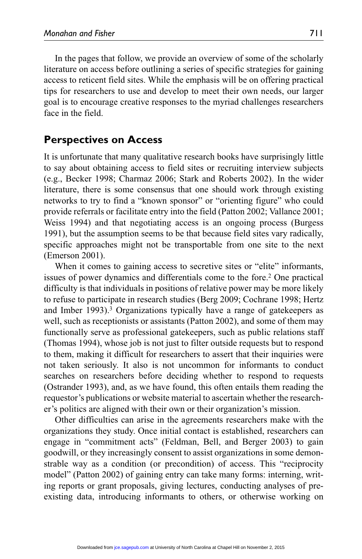In the pages that follow, we provide an overview of some of the scholarly literature on access before outlining a series of specific strategies for gaining access to reticent field sites. While the emphasis will be on offering practical tips for researchers to use and develop to meet their own needs, our larger goal is to encourage creative responses to the myriad challenges researchers face in the field.

# **Perspectives on Access**

It is unfortunate that many qualitative research books have surprisingly little to say about obtaining access to field sites or recruiting interview subjects (e.g., Becker 1998; Charmaz 2006; Stark and Roberts 2002). In the wider literature, there is some consensus that one should work through existing networks to try to find a "known sponsor" or "orienting figure" who could provide referrals or facilitate entry into the field (Patton 2002; Vallance 2001; Weiss 1994) and that negotiating access is an ongoing process (Burgess 1991), but the assumption seems to be that because field sites vary radically, specific approaches might not be transportable from one site to the next (Emerson 2001).

When it comes to gaining access to secretive sites or "elite" informants, issues of power dynamics and differentials come to the fore.2 One practical difficulty is that individuals in positions of relative power may be more likely to refuse to participate in research studies (Berg 2009; Cochrane 1998; Hertz and Imber 1993).3 Organizations typically have a range of gatekeepers as well, such as receptionists or assistants (Patton 2002), and some of them may functionally serve as professional gatekeepers, such as public relations staff (Thomas 1994), whose job is not just to filter outside requests but to respond to them, making it difficult for researchers to assert that their inquiries were not taken seriously. It also is not uncommon for informants to conduct searches on researchers before deciding whether to respond to requests (Ostrander 1993), and, as we have found, this often entails them reading the requestor's publications or website material to ascertain whether the researcher's politics are aligned with their own or their organization's mission.

Other difficulties can arise in the agreements researchers make with the organizations they study. Once initial contact is established, researchers can engage in "commitment acts" (Feldman, Bell, and Berger 2003) to gain goodwill, or they increasingly consent to assist organizations in some demonstrable way as a condition (or precondition) of access. This "reciprocity model" (Patton 2002) of gaining entry can take many forms: interning, writing reports or grant proposals, giving lectures, conducting analyses of preexisting data, introducing informants to others, or otherwise working on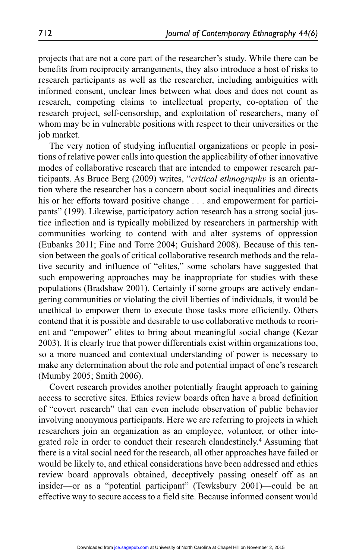projects that are not a core part of the researcher's study. While there can be benefits from reciprocity arrangements, they also introduce a host of risks to research participants as well as the researcher, including ambiguities with informed consent, unclear lines between what does and does not count as research, competing claims to intellectual property, co-optation of the research project, self-censorship, and exploitation of researchers, many of whom may be in vulnerable positions with respect to their universities or the job market.

The very notion of studying influential organizations or people in positions of relative power calls into question the applicability of other innovative modes of collaborative research that are intended to empower research participants. As Bruce Berg (2009) writes, "*critical ethnography* is an orientation where the researcher has a concern about social inequalities and directs his or her efforts toward positive change . . . and empowerment for participants" (199). Likewise, participatory action research has a strong social justice inflection and is typically mobilized by researchers in partnership with communities working to contend with and alter systems of oppression (Eubanks 2011; Fine and Torre 2004; Guishard 2008). Because of this tension between the goals of critical collaborative research methods and the relative security and influence of "elites," some scholars have suggested that such empowering approaches may be inappropriate for studies with these populations (Bradshaw 2001). Certainly if some groups are actively endangering communities or violating the civil liberties of individuals, it would be unethical to empower them to execute those tasks more efficiently. Others contend that it is possible and desirable to use collaborative methods to reorient and "empower" elites to bring about meaningful social change (Kezar 2003). It is clearly true that power differentials exist within organizations too, so a more nuanced and contextual understanding of power is necessary to make any determination about the role and potential impact of one's research (Mumby 2005; Smith 2006).

Covert research provides another potentially fraught approach to gaining access to secretive sites. Ethics review boards often have a broad definition of "covert research" that can even include observation of public behavior involving anonymous participants. Here we are referring to projects in which researchers join an organization as an employee, volunteer, or other integrated role in order to conduct their research clandestinely.4 Assuming that there is a vital social need for the research, all other approaches have failed or would be likely to, and ethical considerations have been addressed and ethics review board approvals obtained, deceptively passing oneself off as an insider—or as a "potential participant" (Tewksbury 2001)—could be an effective way to secure access to a field site. Because informed consent would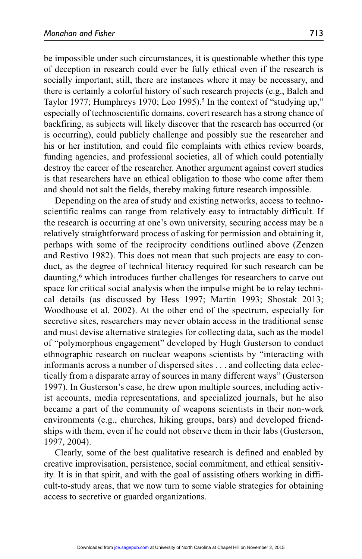be impossible under such circumstances, it is questionable whether this type of deception in research could ever be fully ethical even if the research is socially important; still, there are instances where it may be necessary, and there is certainly a colorful history of such research projects (e.g., Balch and Taylor 1977; Humphreys 1970; Leo 1995).<sup>5</sup> In the context of "studying up," especially of technoscientific domains, covert research has a strong chance of backfiring, as subjects will likely discover that the research has occurred (or is occurring), could publicly challenge and possibly sue the researcher and his or her institution, and could file complaints with ethics review boards, funding agencies, and professional societies, all of which could potentially destroy the career of the researcher. Another argument against covert studies is that researchers have an ethical obligation to those who come after them and should not salt the fields, thereby making future research impossible.

Depending on the area of study and existing networks, access to technoscientific realms can range from relatively easy to intractably difficult. If the research is occurring at one's own university, securing access may be a relatively straightforward process of asking for permission and obtaining it, perhaps with some of the reciprocity conditions outlined above (Zenzen and Restivo 1982). This does not mean that such projects are easy to conduct, as the degree of technical literacy required for such research can be daunting,6 which introduces further challenges for researchers to carve out space for critical social analysis when the impulse might be to relay technical details (as discussed by Hess 1997; Martin 1993; Shostak 2013; Woodhouse et al. 2002). At the other end of the spectrum, especially for secretive sites, researchers may never obtain access in the traditional sense and must devise alternative strategies for collecting data, such as the model of "polymorphous engagement" developed by Hugh Gusterson to conduct ethnographic research on nuclear weapons scientists by "interacting with informants across a number of dispersed sites . . . and collecting data eclectically from a disparate array of sources in many different ways" (Gusterson 1997). In Gusterson's case, he drew upon multiple sources, including activist accounts, media representations, and specialized journals, but he also became a part of the community of weapons scientists in their non-work environments (e.g., churches, hiking groups, bars) and developed friendships with them, even if he could not observe them in their labs (Gusterson, 1997, 2004).

Clearly, some of the best qualitative research is defined and enabled by creative improvisation, persistence, social commitment, and ethical sensitivity. It is in that spirit, and with the goal of assisting others working in difficult-to-study areas, that we now turn to some viable strategies for obtaining access to secretive or guarded organizations.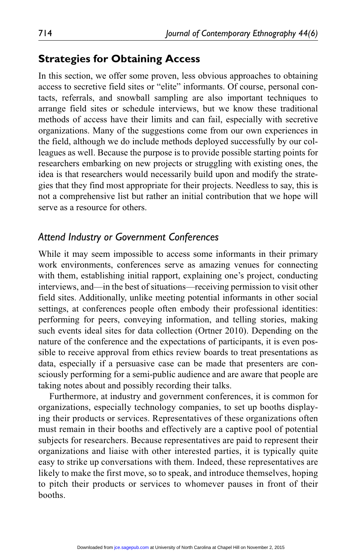# **Strategies for Obtaining Access**

In this section, we offer some proven, less obvious approaches to obtaining access to secretive field sites or "elite" informants. Of course, personal contacts, referrals, and snowball sampling are also important techniques to arrange field sites or schedule interviews, but we know these traditional methods of access have their limits and can fail, especially with secretive organizations. Many of the suggestions come from our own experiences in the field, although we do include methods deployed successfully by our colleagues as well. Because the purpose is to provide possible starting points for researchers embarking on new projects or struggling with existing ones, the idea is that researchers would necessarily build upon and modify the strategies that they find most appropriate for their projects. Needless to say, this is not a comprehensive list but rather an initial contribution that we hope will serve as a resource for others.

# *Attend Industry or Government Conferences*

While it may seem impossible to access some informants in their primary work environments, conferences serve as amazing venues for connecting with them, establishing initial rapport, explaining one's project, conducting interviews, and—in the best of situations—receiving permission to visit other field sites. Additionally, unlike meeting potential informants in other social settings, at conferences people often embody their professional identities: performing for peers, conveying information, and telling stories, making such events ideal sites for data collection (Ortner 2010). Depending on the nature of the conference and the expectations of participants, it is even possible to receive approval from ethics review boards to treat presentations as data, especially if a persuasive case can be made that presenters are consciously performing for a semi-public audience and are aware that people are taking notes about and possibly recording their talks.

Furthermore, at industry and government conferences, it is common for organizations, especially technology companies, to set up booths displaying their products or services. Representatives of these organizations often must remain in their booths and effectively are a captive pool of potential subjects for researchers. Because representatives are paid to represent their organizations and liaise with other interested parties, it is typically quite easy to strike up conversations with them. Indeed, these representatives are likely to make the first move, so to speak, and introduce themselves, hoping to pitch their products or services to whomever pauses in front of their booths.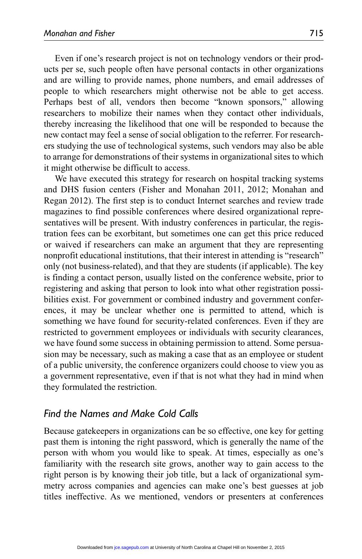Even if one's research project is not on technology vendors or their products per se, such people often have personal contacts in other organizations and are willing to provide names, phone numbers, and email addresses of people to which researchers might otherwise not be able to get access. Perhaps best of all, vendors then become "known sponsors," allowing researchers to mobilize their names when they contact other individuals, thereby increasing the likelihood that one will be responded to because the new contact may feel a sense of social obligation to the referrer. For researchers studying the use of technological systems, such vendors may also be able to arrange for demonstrations of their systems in organizational sites to which it might otherwise be difficult to access.

We have executed this strategy for research on hospital tracking systems and DHS fusion centers (Fisher and Monahan 2011, 2012; Monahan and Regan 2012). The first step is to conduct Internet searches and review trade magazines to find possible conferences where desired organizational representatives will be present. With industry conferences in particular, the registration fees can be exorbitant, but sometimes one can get this price reduced or waived if researchers can make an argument that they are representing nonprofit educational institutions, that their interest in attending is "research" only (not business-related), and that they are students (if applicable). The key is finding a contact person, usually listed on the conference website, prior to registering and asking that person to look into what other registration possibilities exist. For government or combined industry and government conferences, it may be unclear whether one is permitted to attend, which is something we have found for security-related conferences. Even if they are restricted to government employees or individuals with security clearances, we have found some success in obtaining permission to attend. Some persuasion may be necessary, such as making a case that as an employee or student of a public university, the conference organizers could choose to view you as a government representative, even if that is not what they had in mind when they formulated the restriction.

#### *Find the Names and Make Cold Calls*

Because gatekeepers in organizations can be so effective, one key for getting past them is intoning the right password, which is generally the name of the person with whom you would like to speak. At times, especially as one's familiarity with the research site grows, another way to gain access to the right person is by knowing their job title, but a lack of organizational symmetry across companies and agencies can make one's best guesses at job titles ineffective. As we mentioned, vendors or presenters at conferences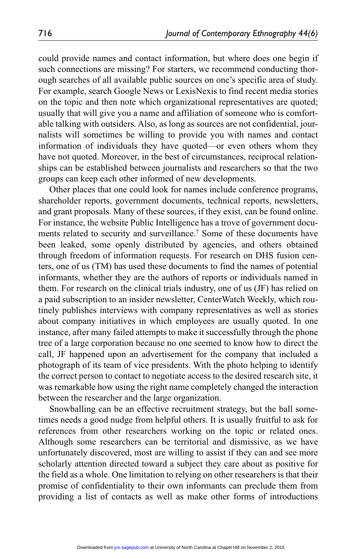could provide names and contact information, but where does one begin if such connections are missing? For starters, we recommend conducting thorough searches of all available public sources on one's specific area of study. For example, search Google News or LexisNexis to find recent media stories on the topic and then note which organizational representatives are quoted; usually that will give you a name and affiliation of someone who is comfortable talking with outsiders. Also, as long as sources are not confidential, journalists will sometimes be willing to provide you with names and contact information of individuals they have quoted—or even others whom they have not quoted. Moreover, in the best of circumstances, reciprocal relationships can be established between journalists and researchers so that the two groups can keep each other informed of new developments.

Other places that one could look for names include conference programs, shareholder reports, government documents, technical reports, newsletters, and grant proposals. Many of these sources, if they exist, can be found online. For instance, the website Public Intelligence has a trove of government documents related to security and surveillance.7 Some of these documents have been leaked, some openly distributed by agencies, and others obtained through freedom of information requests. For research on DHS fusion centers, one of us (TM) has used these documents to find the names of potential informants, whether they are the authors of reports or individuals named in them. For research on the clinical trials industry, one of us (JF) has relied on a paid subscription to an insider newsletter, CenterWatch Weekly, which routinely publishes interviews with company representatives as well as stories about company initiatives in which employees are usually quoted. In one instance, after many failed attempts to make it successfully through the phone tree of a large corporation because no one seemed to know how to direct the call, JF happened upon an advertisement for the company that included a photograph of its team of vice presidents. With the photo helping to identify the correct person to contact to negotiate access to the desired research site, it was remarkable how using the right name completely changed the interaction between the researcher and the large organization.

Snowballing can be an effective recruitment strategy, but the ball sometimes needs a good nudge from helpful others. It is usually fruitful to ask for references from other researchers working on the topic or related ones. Although some researchers can be territorial and dismissive, as we have unfortunately discovered, most are willing to assist if they can and see more scholarly attention directed toward a subject they care about as positive for the field as a whole. One limitation to relying on other researchers is that their promise of confidentiality to their own informants can preclude them from providing a list of contacts as well as make other forms of introductions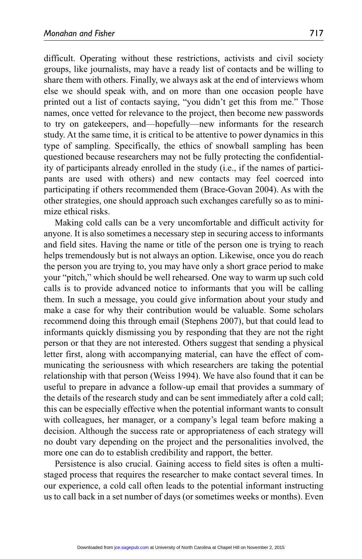difficult. Operating without these restrictions, activists and civil society groups, like journalists, may have a ready list of contacts and be willing to share them with others. Finally, we always ask at the end of interviews whom else we should speak with, and on more than one occasion people have printed out a list of contacts saying, "you didn't get this from me." Those names, once vetted for relevance to the project, then become new passwords to try on gatekeepers, and—hopefully—new informants for the research study. At the same time, it is critical to be attentive to power dynamics in this type of sampling. Specifically, the ethics of snowball sampling has been questioned because researchers may not be fully protecting the confidentiality of participants already enrolled in the study (i.e., if the names of participants are used with others) and new contacts may feel coerced into participating if others recommended them (Brace-Govan 2004). As with the other strategies, one should approach such exchanges carefully so as to minimize ethical risks.

Making cold calls can be a very uncomfortable and difficult activity for anyone. It is also sometimes a necessary step in securing access to informants and field sites. Having the name or title of the person one is trying to reach helps tremendously but is not always an option. Likewise, once you do reach the person you are trying to, you may have only a short grace period to make your "pitch," which should be well rehearsed. One way to warm up such cold calls is to provide advanced notice to informants that you will be calling them. In such a message, you could give information about your study and make a case for why their contribution would be valuable. Some scholars recommend doing this through email (Stephens 2007), but that could lead to informants quickly dismissing you by responding that they are not the right person or that they are not interested. Others suggest that sending a physical letter first, along with accompanying material, can have the effect of communicating the seriousness with which researchers are taking the potential relationship with that person (Weiss 1994). We have also found that it can be useful to prepare in advance a follow-up email that provides a summary of the details of the research study and can be sent immediately after a cold call; this can be especially effective when the potential informant wants to consult with colleagues, her manager, or a company's legal team before making a decision. Although the success rate or appropriateness of each strategy will no doubt vary depending on the project and the personalities involved, the more one can do to establish credibility and rapport, the better.

Persistence is also crucial. Gaining access to field sites is often a multistaged process that requires the researcher to make contact several times. In our experience, a cold call often leads to the potential informant instructing us to call back in a set number of days (or sometimes weeks or months). Even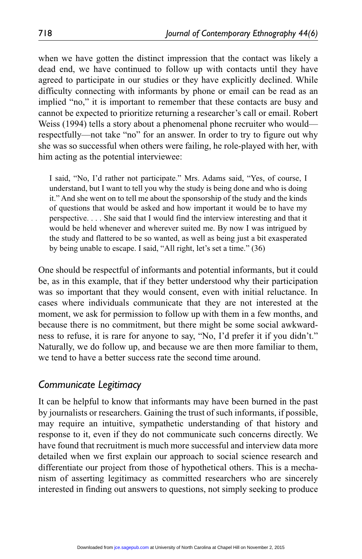when we have gotten the distinct impression that the contact was likely a dead end, we have continued to follow up with contacts until they have agreed to participate in our studies or they have explicitly declined. While difficulty connecting with informants by phone or email can be read as an implied "no," it is important to remember that these contacts are busy and cannot be expected to prioritize returning a researcher's call or email. Robert Weiss (1994) tells a story about a phenomenal phone recruiter who would respectfully—not take "no" for an answer. In order to try to figure out why she was so successful when others were failing, he role-played with her, with him acting as the potential interviewee:

I said, "No, I'd rather not participate." Mrs. Adams said, "Yes, of course, I understand, but I want to tell you why the study is being done and who is doing it." And she went on to tell me about the sponsorship of the study and the kinds of questions that would be asked and how important it would be to have my perspective. . . . She said that I would find the interview interesting and that it would be held whenever and wherever suited me. By now I was intrigued by the study and flattered to be so wanted, as well as being just a bit exasperated by being unable to escape. I said, "All right, let's set a time." (36)

One should be respectful of informants and potential informants, but it could be, as in this example, that if they better understood why their participation was so important that they would consent, even with initial reluctance. In cases where individuals communicate that they are not interested at the moment, we ask for permission to follow up with them in a few months, and because there is no commitment, but there might be some social awkwardness to refuse, it is rare for anyone to say, "No, I'd prefer it if you didn't." Naturally, we do follow up, and because we are then more familiar to them, we tend to have a better success rate the second time around.

# *Communicate Legitimacy*

It can be helpful to know that informants may have been burned in the past by journalists or researchers. Gaining the trust of such informants, if possible, may require an intuitive, sympathetic understanding of that history and response to it, even if they do not communicate such concerns directly. We have found that recruitment is much more successful and interview data more detailed when we first explain our approach to social science research and differentiate our project from those of hypothetical others. This is a mechanism of asserting legitimacy as committed researchers who are sincerely interested in finding out answers to questions, not simply seeking to produce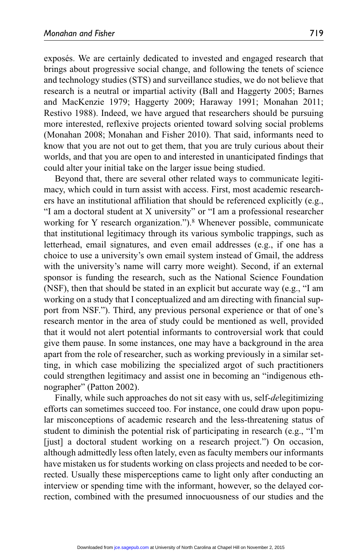exposés. We are certainly dedicated to invested and engaged research that brings about progressive social change, and following the tenets of science and technology studies (STS) and surveillance studies, we do not believe that research is a neutral or impartial activity (Ball and Haggerty 2005; Barnes and MacKenzie 1979; Haggerty 2009; Haraway 1991; Monahan 2011; Restivo 1988). Indeed, we have argued that researchers should be pursuing more interested, reflexive projects oriented toward solving social problems (Monahan 2008; Monahan and Fisher 2010). That said, informants need to know that you are not out to get them, that you are truly curious about their worlds, and that you are open to and interested in unanticipated findings that could alter your initial take on the larger issue being studied.

Beyond that, there are several other related ways to communicate legitimacy, which could in turn assist with access. First, most academic researchers have an institutional affiliation that should be referenced explicitly (e.g., "I am a doctoral student at X university" or "I am a professional researcher working for Y research organization.").<sup>8</sup> Whenever possible, communicate that institutional legitimacy through its various symbolic trappings, such as letterhead, email signatures, and even email addresses (e.g., if one has a choice to use a university's own email system instead of Gmail, the address with the university's name will carry more weight). Second, if an external sponsor is funding the research, such as the National Science Foundation (NSF), then that should be stated in an explicit but accurate way (e.g., "I am working on a study that I conceptualized and am directing with financial support from NSF."). Third, any previous personal experience or that of one's research mentor in the area of study could be mentioned as well, provided that it would not alert potential informants to controversial work that could give them pause. In some instances, one may have a background in the area apart from the role of researcher, such as working previously in a similar setting, in which case mobilizing the specialized argot of such practitioners could strengthen legitimacy and assist one in becoming an "indigenous ethnographer" (Patton 2002).

Finally, while such approaches do not sit easy with us, self-*de*legitimizing efforts can sometimes succeed too. For instance, one could draw upon popular misconceptions of academic research and the less-threatening status of student to diminish the potential risk of participating in research (e.g., "I'm [just] a doctoral student working on a research project.") On occasion, although admittedly less often lately, even as faculty members our informants have mistaken us for students working on class projects and needed to be corrected. Usually these misperceptions came to light only after conducting an interview or spending time with the informant, however, so the delayed correction, combined with the presumed innocuousness of our studies and the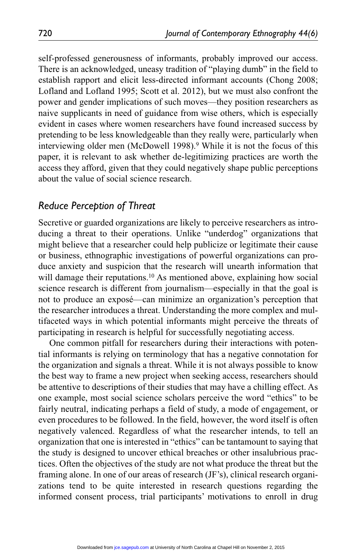self-professed generousness of informants, probably improved our access. There is an acknowledged, uneasy tradition of "playing dumb" in the field to establish rapport and elicit less-directed informant accounts (Chong 2008; Lofland and Lofland 1995; Scott et al. 2012), but we must also confront the power and gender implications of such moves—they position researchers as naive supplicants in need of guidance from wise others, which is especially evident in cases where women researchers have found increased success by pretending to be less knowledgeable than they really were, particularly when interviewing older men (McDowell 1998).9 While it is not the focus of this paper, it is relevant to ask whether de-legitimizing practices are worth the access they afford, given that they could negatively shape public perceptions about the value of social science research.

#### *Reduce Perception of Threat*

Secretive or guarded organizations are likely to perceive researchers as introducing a threat to their operations. Unlike "underdog" organizations that might believe that a researcher could help publicize or legitimate their cause or business, ethnographic investigations of powerful organizations can produce anxiety and suspicion that the research will unearth information that will damage their reputations.<sup>10</sup> As mentioned above, explaining how social science research is different from journalism—especially in that the goal is not to produce an exposé—can minimize an organization's perception that the researcher introduces a threat. Understanding the more complex and multifaceted ways in which potential informants might perceive the threats of participating in research is helpful for successfully negotiating access.

One common pitfall for researchers during their interactions with potential informants is relying on terminology that has a negative connotation for the organization and signals a threat. While it is not always possible to know the best way to frame a new project when seeking access, researchers should be attentive to descriptions of their studies that may have a chilling effect. As one example, most social science scholars perceive the word "ethics" to be fairly neutral, indicating perhaps a field of study, a mode of engagement, or even procedures to be followed. In the field, however, the word itself is often negatively valenced. Regardless of what the researcher intends, to tell an organization that one is interested in "ethics" can be tantamount to saying that the study is designed to uncover ethical breaches or other insalubrious practices. Often the objectives of the study are not what produce the threat but the framing alone. In one of our areas of research (JF's), clinical research organizations tend to be quite interested in research questions regarding the informed consent process, trial participants' motivations to enroll in drug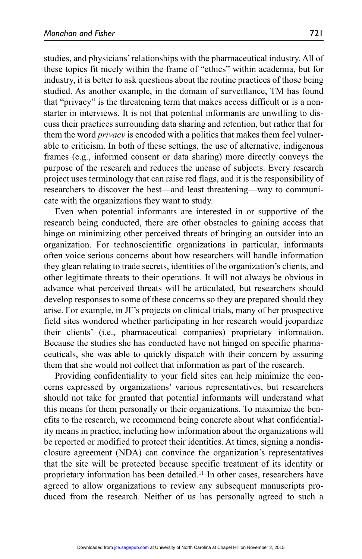studies, and physicians' relationships with the pharmaceutical industry. All of these topics fit nicely within the frame of "ethics" within academia, but for industry, it is better to ask questions about the routine practices of those being studied. As another example, in the domain of surveillance, TM has found that "privacy" is the threatening term that makes access difficult or is a nonstarter in interviews. It is not that potential informants are unwilling to discuss their practices surrounding data sharing and retention, but rather that for them the word *privacy* is encoded with a politics that makes them feel vulnerable to criticism. In both of these settings, the use of alternative, indigenous frames (e.g., informed consent or data sharing) more directly conveys the purpose of the research and reduces the unease of subjects. Every research project uses terminology that can raise red flags, and it is the responsibility of researchers to discover the best—and least threatening—way to communicate with the organizations they want to study.

Even when potential informants are interested in or supportive of the research being conducted, there are other obstacles to gaining access that hinge on minimizing other perceived threats of bringing an outsider into an organization. For technoscientific organizations in particular, informants often voice serious concerns about how researchers will handle information they glean relating to trade secrets, identities of the organization's clients, and other legitimate threats to their operations. It will not always be obvious in advance what perceived threats will be articulated, but researchers should develop responses to some of these concerns so they are prepared should they arise. For example, in JF's projects on clinical trials, many of her prospective field sites wondered whether participating in her research would jeopardize their clients' (i.e., pharmaceutical companies) proprietary information. Because the studies she has conducted have not hinged on specific pharmaceuticals, she was able to quickly dispatch with their concern by assuring them that she would not collect that information as part of the research.

Providing confidentiality to your field sites can help minimize the concerns expressed by organizations' various representatives, but researchers should not take for granted that potential informants will understand what this means for them personally or their organizations. To maximize the benefits to the research, we recommend being concrete about what confidentiality means in practice, including how information about the organizations will be reported or modified to protect their identities. At times, signing a nondisclosure agreement (NDA) can convince the organization's representatives that the site will be protected because specific treatment of its identity or proprietary information has been detailed.11 In other cases, researchers have agreed to allow organizations to review any subsequent manuscripts produced from the research. Neither of us has personally agreed to such a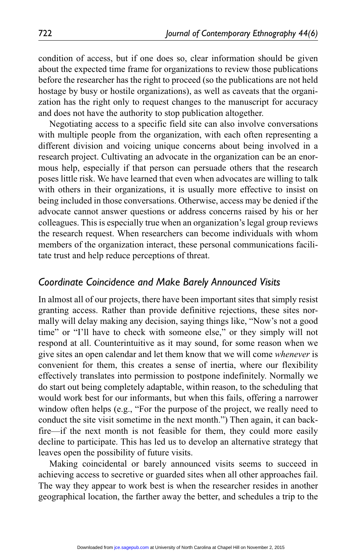condition of access, but if one does so, clear information should be given about the expected time frame for organizations to review those publications before the researcher has the right to proceed (so the publications are not held hostage by busy or hostile organizations), as well as caveats that the organization has the right only to request changes to the manuscript for accuracy and does not have the authority to stop publication altogether.

Negotiating access to a specific field site can also involve conversations with multiple people from the organization, with each often representing a different division and voicing unique concerns about being involved in a research project. Cultivating an advocate in the organization can be an enormous help, especially if that person can persuade others that the research poses little risk. We have learned that even when advocates are willing to talk with others in their organizations, it is usually more effective to insist on being included in those conversations. Otherwise, access may be denied if the advocate cannot answer questions or address concerns raised by his or her colleagues. This is especially true when an organization's legal group reviews the research request. When researchers can become individuals with whom members of the organization interact, these personal communications facilitate trust and help reduce perceptions of threat.

# *Coordinate Coincidence and Make Barely Announced Visits*

In almost all of our projects, there have been important sites that simply resist granting access. Rather than provide definitive rejections, these sites normally will delay making any decision, saying things like, "Now's not a good time" or "I'll have to check with someone else," or they simply will not respond at all. Counterintuitive as it may sound, for some reason when we give sites an open calendar and let them know that we will come *whenever* is convenient for them, this creates a sense of inertia, where our flexibility effectively translates into permission to postpone indefinitely. Normally we do start out being completely adaptable, within reason, to the scheduling that would work best for our informants, but when this fails, offering a narrower window often helps (e.g., "For the purpose of the project, we really need to conduct the site visit sometime in the next month.") Then again, it can backfire—if the next month is not feasible for them, they could more easily decline to participate. This has led us to develop an alternative strategy that leaves open the possibility of future visits.

Making coincidental or barely announced visits seems to succeed in achieving access to secretive or guarded sites when all other approaches fail. The way they appear to work best is when the researcher resides in another geographical location, the farther away the better, and schedules a trip to the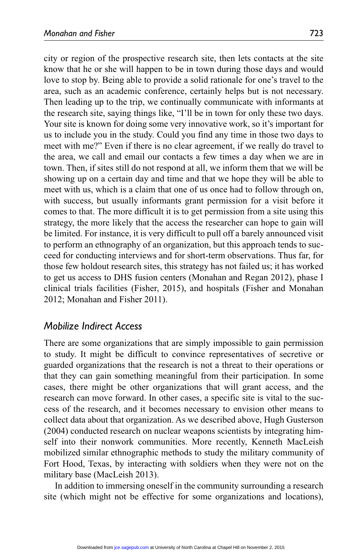city or region of the prospective research site, then lets contacts at the site know that he or she will happen to be in town during those days and would love to stop by. Being able to provide a solid rationale for one's travel to the area, such as an academic conference, certainly helps but is not necessary. Then leading up to the trip, we continually communicate with informants at the research site, saying things like, "I'll be in town for only these two days. Your site is known for doing some very innovative work, so it's important for us to include you in the study. Could you find any time in those two days to meet with me?" Even if there is no clear agreement, if we really do travel to the area, we call and email our contacts a few times a day when we are in town. Then, if sites still do not respond at all, we inform them that we will be showing up on a certain day and time and that we hope they will be able to meet with us, which is a claim that one of us once had to follow through on, with success, but usually informants grant permission for a visit before it comes to that. The more difficult it is to get permission from a site using this strategy, the more likely that the access the researcher can hope to gain will be limited. For instance, it is very difficult to pull off a barely announced visit to perform an ethnography of an organization, but this approach tends to succeed for conducting interviews and for short-term observations. Thus far, for those few holdout research sites, this strategy has not failed us; it has worked to get us access to DHS fusion centers (Monahan and Regan 2012), phase I clinical trials facilities (Fisher, 2015), and hospitals (Fisher and Monahan 2012; Monahan and Fisher 2011).

# *Mobilize Indirect Access*

There are some organizations that are simply impossible to gain permission to study. It might be difficult to convince representatives of secretive or guarded organizations that the research is not a threat to their operations or that they can gain something meaningful from their participation. In some cases, there might be other organizations that will grant access, and the research can move forward. In other cases, a specific site is vital to the success of the research, and it becomes necessary to envision other means to collect data about that organization. As we described above, Hugh Gusterson (2004) conducted research on nuclear weapons scientists by integrating himself into their nonwork communities. More recently, Kenneth MacLeish mobilized similar ethnographic methods to study the military community of Fort Hood, Texas, by interacting with soldiers when they were not on the military base (MacLeish 2013).

In addition to immersing oneself in the community surrounding a research site (which might not be effective for some organizations and locations),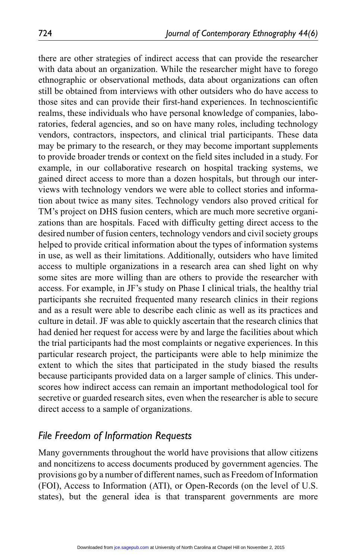there are other strategies of indirect access that can provide the researcher with data about an organization. While the researcher might have to forego ethnographic or observational methods, data about organizations can often still be obtained from interviews with other outsiders who do have access to those sites and can provide their first-hand experiences. In technoscientific realms, these individuals who have personal knowledge of companies, laboratories, federal agencies, and so on have many roles, including technology vendors, contractors, inspectors, and clinical trial participants. These data may be primary to the research, or they may become important supplements to provide broader trends or context on the field sites included in a study. For example, in our collaborative research on hospital tracking systems, we gained direct access to more than a dozen hospitals, but through our interviews with technology vendors we were able to collect stories and information about twice as many sites. Technology vendors also proved critical for TM's project on DHS fusion centers, which are much more secretive organizations than are hospitals. Faced with difficulty getting direct access to the desired number of fusion centers, technology vendors and civil society groups helped to provide critical information about the types of information systems in use, as well as their limitations. Additionally, outsiders who have limited access to multiple organizations in a research area can shed light on why some sites are more willing than are others to provide the researcher with access. For example, in JF's study on Phase I clinical trials, the healthy trial participants she recruited frequented many research clinics in their regions and as a result were able to describe each clinic as well as its practices and culture in detail. JF was able to quickly ascertain that the research clinics that had denied her request for access were by and large the facilities about which the trial participants had the most complaints or negative experiences. In this particular research project, the participants were able to help minimize the extent to which the sites that participated in the study biased the results because participants provided data on a larger sample of clinics. This underscores how indirect access can remain an important methodological tool for secretive or guarded research sites, even when the researcher is able to secure direct access to a sample of organizations.

# *File Freedom of Information Requests*

Many governments throughout the world have provisions that allow citizens and noncitizens to access documents produced by government agencies. The provisions go by a number of different names, such as Freedom of Information (FOI), Access to Information (ATI), or Open-Records (on the level of U.S. states), but the general idea is that transparent governments are more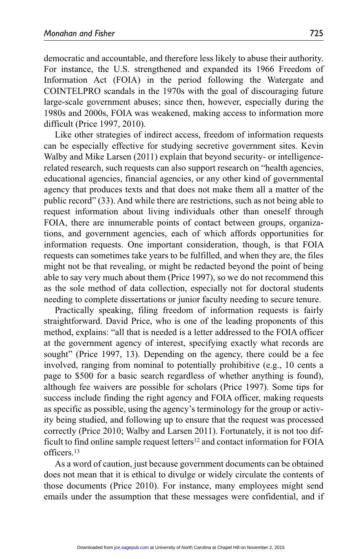democratic and accountable, and therefore less likely to abuse their authority. For instance, the U.S. strengthened and expanded its 1966 Freedom of Information Act (FOIA) in the period following the Watergate and COINTELPRO scandals in the 1970s with the goal of discouraging future large-scale government abuses; since then, however, especially during the 1980s and 2000s, FOIA was weakened, making access to information more difficult (Price 1997, 2010).

Like other strategies of indirect access, freedom of information requests can be especially effective for studying secretive government sites. Kevin Walby and Mike Larsen (2011) explain that beyond security- or intelligencerelated research, such requests can also support research on "health agencies, educational agencies, financial agencies, or any other kind of governmental agency that produces texts and that does not make them all a matter of the public record" (33). And while there are restrictions, such as not being able to request information about living individuals other than oneself through FOIA, there are innumerable points of contact between groups, organizations, and government agencies, each of which affords opportunities for information requests. One important consideration, though, is that FOIA requests can sometimes take years to be fulfilled, and when they are, the files might not be that revealing, or might be redacted beyond the point of being able to say very much about them (Price 1997), so we do not recommend this as the sole method of data collection, especially not for doctoral students needing to complete dissertations or junior faculty needing to secure tenure.

Practically speaking, filing freedom of information requests is fairly straightforward. David Price, who is one of the leading proponents of this method, explains: "all that is needed is a letter addressed to the FOIA officer at the government agency of interest, specifying exactly what records are sought" (Price 1997, 13). Depending on the agency, there could be a fee involved, ranging from nominal to potentially prohibitive (e.g., 10 cents a page to \$500 for a basic search regardless of whether anything is found), although fee waivers are possible for scholars (Price 1997). Some tips for success include finding the right agency and FOIA officer, making requests as specific as possible, using the agency's terminology for the group or activity being studied, and following up to ensure that the request was processed correctly (Price 2010; Walby and Larsen 2011). Fortunately, it is not too difficult to find online sample request letters<sup>12</sup> and contact information for FOIA officers.13

As a word of caution, just because government documents can be obtained does not mean that it is ethical to divulge or widely circulate the contents of those documents (Price 2010). For instance, many employees might send emails under the assumption that these messages were confidential, and if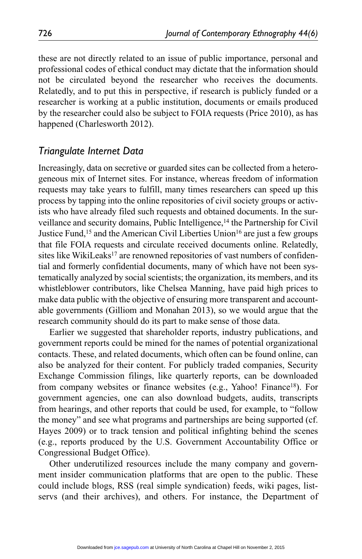these are not directly related to an issue of public importance, personal and professional codes of ethical conduct may dictate that the information should not be circulated beyond the researcher who receives the documents. Relatedly, and to put this in perspective, if research is publicly funded or a researcher is working at a public institution, documents or emails produced by the researcher could also be subject to FOIA requests (Price 2010), as has happened (Charlesworth 2012).

# *Triangulate Internet Data*

Increasingly, data on secretive or guarded sites can be collected from a heterogeneous mix of Internet sites. For instance, whereas freedom of information requests may take years to fulfill, many times researchers can speed up this process by tapping into the online repositories of civil society groups or activists who have already filed such requests and obtained documents. In the surveillance and security domains, Public Intelligence,14 the Partnership for Civil Justice Fund,<sup>15</sup> and the American Civil Liberties Union<sup>16</sup> are just a few groups that file FOIA requests and circulate received documents online. Relatedly, sites like WikiLeaks<sup>17</sup> are renowned repositories of vast numbers of confidential and formerly confidential documents, many of which have not been systematically analyzed by social scientists; the organization, its members, and its whistleblower contributors, like Chelsea Manning, have paid high prices to make data public with the objective of ensuring more transparent and accountable governments (Gilliom and Monahan 2013), so we would argue that the research community should do its part to make sense of those data.

Earlier we suggested that shareholder reports, industry publications, and government reports could be mined for the names of potential organizational contacts. These, and related documents, which often can be found online, can also be analyzed for their content. For publicly traded companies, Security Exchange Commission filings, like quarterly reports, can be downloaded from company websites or finance websites (e.g., Yahoo! Finance18). For government agencies, one can also download budgets, audits, transcripts from hearings, and other reports that could be used, for example, to "follow the money" and see what programs and partnerships are being supported (cf. Hayes 2009) or to track tension and political infighting behind the scenes (e.g., reports produced by the U.S. Government Accountability Office or Congressional Budget Office).

Other underutilized resources include the many company and government insider communication platforms that are open to the public. These could include blogs, RSS (real simple syndication) feeds, wiki pages, listservs (and their archives), and others. For instance, the Department of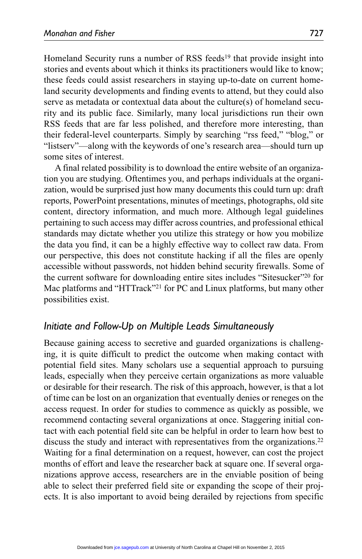Homeland Security runs a number of RSS feeds<sup>19</sup> that provide insight into stories and events about which it thinks its practitioners would like to know; these feeds could assist researchers in staying up-to-date on current homeland security developments and finding events to attend, but they could also serve as metadata or contextual data about the culture(s) of homeland security and its public face. Similarly, many local jurisdictions run their own RSS feeds that are far less polished, and therefore more interesting, than their federal-level counterparts. Simply by searching "rss feed," "blog," or "listserv"—along with the keywords of one's research area—should turn up some sites of interest.

A final related possibility is to download the entire website of an organization you are studying. Oftentimes you, and perhaps individuals at the organization, would be surprised just how many documents this could turn up: draft reports, PowerPoint presentations, minutes of meetings, photographs, old site content, directory information, and much more. Although legal guidelines pertaining to such access may differ across countries, and professional ethical standards may dictate whether you utilize this strategy or how you mobilize the data you find, it can be a highly effective way to collect raw data. From our perspective, this does not constitute hacking if all the files are openly accessible without passwords, not hidden behind security firewalls. Some of the current software for downloading entire sites includes "Sitesucker"20 for Mac platforms and "HTTrack"<sup>21</sup> for PC and Linux platforms, but many other possibilities exist.

#### *Initiate and Follow-Up on Multiple Leads Simultaneously*

Because gaining access to secretive and guarded organizations is challenging, it is quite difficult to predict the outcome when making contact with potential field sites. Many scholars use a sequential approach to pursuing leads, especially when they perceive certain organizations as more valuable or desirable for their research. The risk of this approach, however, is that a lot of time can be lost on an organization that eventually denies or reneges on the access request. In order for studies to commence as quickly as possible, we recommend contacting several organizations at once. Staggering initial contact with each potential field site can be helpful in order to learn how best to discuss the study and interact with representatives from the organizations.<sup>22</sup> Waiting for a final determination on a request, however, can cost the project months of effort and leave the researcher back at square one. If several organizations approve access, researchers are in the enviable position of being able to select their preferred field site or expanding the scope of their projects. It is also important to avoid being derailed by rejections from specific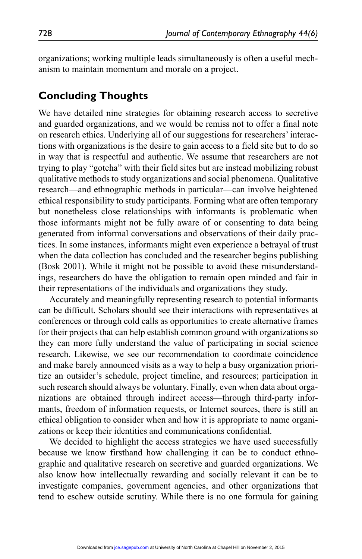organizations; working multiple leads simultaneously is often a useful mechanism to maintain momentum and morale on a project.

# **Concluding Thoughts**

We have detailed nine strategies for obtaining research access to secretive and guarded organizations, and we would be remiss not to offer a final note on research ethics. Underlying all of our suggestions for researchers' interactions with organizations is the desire to gain access to a field site but to do so in way that is respectful and authentic. We assume that researchers are not trying to play "gotcha" with their field sites but are instead mobilizing robust qualitative methods to study organizations and social phenomena. Qualitative research—and ethnographic methods in particular—can involve heightened ethical responsibility to study participants. Forming what are often temporary but nonetheless close relationships with informants is problematic when those informants might not be fully aware of or consenting to data being generated from informal conversations and observations of their daily practices. In some instances, informants might even experience a betrayal of trust when the data collection has concluded and the researcher begins publishing (Bosk 2001). While it might not be possible to avoid these misunderstandings, researchers do have the obligation to remain open minded and fair in their representations of the individuals and organizations they study.

Accurately and meaningfully representing research to potential informants can be difficult. Scholars should see their interactions with representatives at conferences or through cold calls as opportunities to create alternative frames for their projects that can help establish common ground with organizations so they can more fully understand the value of participating in social science research. Likewise, we see our recommendation to coordinate coincidence and make barely announced visits as a way to help a busy organization prioritize an outsider's schedule, project timeline, and resources; participation in such research should always be voluntary. Finally, even when data about organizations are obtained through indirect access—through third-party informants, freedom of information requests, or Internet sources, there is still an ethical obligation to consider when and how it is appropriate to name organizations or keep their identities and communications confidential.

We decided to highlight the access strategies we have used successfully because we know firsthand how challenging it can be to conduct ethnographic and qualitative research on secretive and guarded organizations. We also know how intellectually rewarding and socially relevant it can be to investigate companies, government agencies, and other organizations that tend to eschew outside scrutiny. While there is no one formula for gaining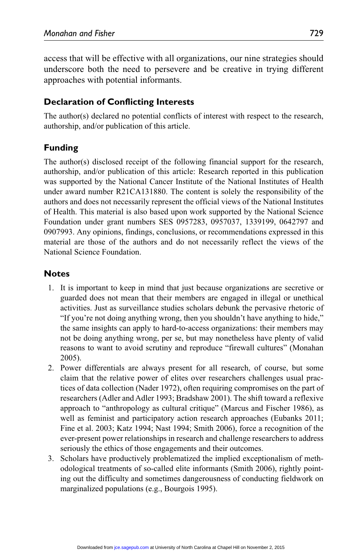access that will be effective with all organizations, our nine strategies should underscore both the need to persevere and be creative in trying different approaches with potential informants.

#### **Declaration of Conflicting Interests**

The author(s) declared no potential conflicts of interest with respect to the research, authorship, and/or publication of this article.

# **Funding**

The author(s) disclosed receipt of the following financial support for the research, authorship, and/or publication of this article: Research reported in this publication was supported by the National Cancer Institute of the National Institutes of Health under award number R21CA131880. The content is solely the responsibility of the authors and does not necessarily represent the official views of the National Institutes of Health. This material is also based upon work supported by the National Science Foundation under grant numbers SES 0957283, 0957037, 1339199, 0642797 and 0907993. Any opinions, findings, conclusions, or recommendations expressed in this material are those of the authors and do not necessarily reflect the views of the National Science Foundation.

# **Notes**

- 1. It is important to keep in mind that just because organizations are secretive or guarded does not mean that their members are engaged in illegal or unethical activities. Just as surveillance studies scholars debunk the pervasive rhetoric of "If you're not doing anything wrong, then you shouldn't have anything to hide," the same insights can apply to hard-to-access organizations: their members may not be doing anything wrong, per se, but may nonetheless have plenty of valid reasons to want to avoid scrutiny and reproduce "firewall cultures" (Monahan 2005).
- 2. Power differentials are always present for all research, of course, but some claim that the relative power of elites over researchers challenges usual practices of data collection (Nader 1972), often requiring compromises on the part of researchers (Adler and Adler 1993; Bradshaw 2001). The shift toward a reflexive approach to "anthropology as cultural critique" (Marcus and Fischer 1986), as well as feminist and participatory action research approaches (Eubanks 2011; Fine et al. 2003; Katz 1994; Nast 1994; Smith 2006), force a recognition of the ever-present power relationships in research and challenge researchers to address seriously the ethics of those engagements and their outcomes.
- 3. Scholars have productively problematized the implied exceptionalism of methodological treatments of so-called elite informants (Smith 2006), rightly pointing out the difficulty and sometimes dangerousness of conducting fieldwork on marginalized populations (e.g., Bourgois 1995).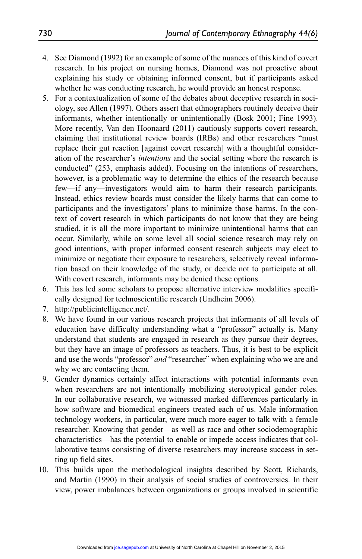- 4. See Diamond (1992) for an example of some of the nuances of this kind of covert research. In his project on nursing homes, Diamond was not proactive about explaining his study or obtaining informed consent, but if participants asked whether he was conducting research, he would provide an honest response.
- 5. For a contextualization of some of the debates about deceptive research in sociology, see Allen (1997). Others assert that ethnographers routinely deceive their informants, whether intentionally or unintentionally (Bosk 2001; Fine 1993). More recently, Van den Hoonaard (2011) cautiously supports covert research, claiming that institutional review boards (IRBs) and other researchers "must replace their gut reaction [against covert research] with a thoughtful consideration of the researcher's *intentions* and the social setting where the research is conducted" (253, emphasis added). Focusing on the intentions of researchers, however, is a problematic way to determine the ethics of the research because few—if any—investigators would aim to harm their research participants. Instead, ethics review boards must consider the likely harms that can come to participants and the investigators' plans to minimize those harms. In the context of covert research in which participants do not know that they are being studied, it is all the more important to minimize unintentional harms that can occur. Similarly, while on some level all social science research may rely on good intentions, with proper informed consent research subjects may elect to minimize or negotiate their exposure to researchers, selectively reveal information based on their knowledge of the study, or decide not to participate at all. With covert research, informants may be denied these options.
- 6. This has led some scholars to propose alternative interview modalities specifically designed for technoscientific research (Undheim 2006).
- 7. [http://publicintelligence.net/.](http://publicintelligence.net/)
- 8. We have found in our various research projects that informants of all levels of education have difficulty understanding what a "professor" actually is. Many understand that students are engaged in research as they pursue their degrees, but they have an image of professors as teachers. Thus, it is best to be explicit and use the words "professor" *and* "researcher" when explaining who we are and why we are contacting them.
- 9. Gender dynamics certainly affect interactions with potential informants even when researchers are not intentionally mobilizing stereotypical gender roles. In our collaborative research, we witnessed marked differences particularly in how software and biomedical engineers treated each of us. Male information technology workers, in particular, were much more eager to talk with a female researcher. Knowing that gender—as well as race and other sociodemographic characteristics—has the potential to enable or impede access indicates that collaborative teams consisting of diverse researchers may increase success in setting up field sites.
- 10. This builds upon the methodological insights described by Scott, Richards, and Martin (1990) in their analysis of social studies of controversies. In their view, power imbalances between organizations or groups involved in scientific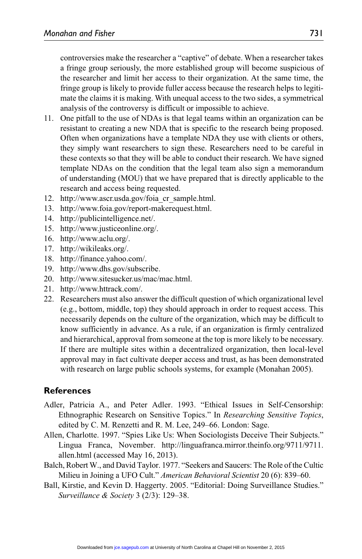controversies make the researcher a "captive" of debate. When a researcher takes a fringe group seriously, the more established group will become suspicious of the researcher and limit her access to their organization. At the same time, the fringe group is likely to provide fuller access because the research helps to legitimate the claims it is making. With unequal access to the two sides, a symmetrical analysis of the controversy is difficult or impossible to achieve.

- 11. One pitfall to the use of NDAs is that legal teams within an organization can be resistant to creating a new NDA that is specific to the research being proposed. Often when organizations have a template NDA they use with clients or others, they simply want researchers to sign these. Researchers need to be careful in these contexts so that they will be able to conduct their research. We have signed template NDAs on the condition that the legal team also sign a memorandum of understanding (MOU) that we have prepared that is directly applicable to the research and access being requested.
- 12. [http://www.ascr.usda.gov/foia\\_cr\\_sample.html.](http://www.ascr.usda.gov/foia_cr_sample.html)
- 13. [http://www.foia.gov/report-makerequest.html.](http://www.foia.gov/report-makerequest.html)
- 14. [http://publicintelligence.net/.](http://publicintelligence.net/)
- 15. <http://www.justiceonline.org/>.
- 16. <http://www.aclu.org/>.
- 17. [http://wikileaks.org/.](http://wikileaks.org/)
- 18. <http://finance.yahoo.com/>.
- 19. <http://www.dhs.gov/subscribe>.
- 20. <http://www.sitesucker.us/mac/mac.html>.
- 21. [http://www.httrack.com/.](http://www.httrack.com/)
- 22. Researchers must also answer the difficult question of which organizational level (e.g., bottom, middle, top) they should approach in order to request access. This necessarily depends on the culture of the organization, which may be difficult to know sufficiently in advance. As a rule, if an organization is firmly centralized and hierarchical, approval from someone at the top is more likely to be necessary. If there are multiple sites within a decentralized organization, then local-level approval may in fact cultivate deeper access and trust, as has been demonstrated with research on large public schools systems, for example (Monahan 2005).

#### **References**

- Adler, Patricia A., and Peter Adler. 1993. "Ethical Issues in Self-Censorship: Ethnographic Research on Sensitive Topics." In *Researching Sensitive Topics*, edited by C. M. Renzetti and R. M. Lee, 249–66. London: Sage.
- Allen, Charlotte. 1997. "Spies Like Us: When Sociologists Deceive Their Subjects." Lingua Franca, November. [http://linguafranca.mirror.theinfo.org/9711/9711.](http://linguafranca.mirror.theinfo.org/9711/9711.allen.html) [allen.html](http://linguafranca.mirror.theinfo.org/9711/9711.allen.html) (accessed May 16, 2013).
- Balch, Robert W., and David Taylor. 1977. "Seekers and Saucers: The Role of the Cultic Milieu in Joining a UFO Cult." *American Behavioral Scientist* 20 (6): 839–60.
- Ball, Kirstie, and Kevin D. Haggerty. 2005. "Editorial: Doing Surveillance Studies." *Surveillance & Society* 3 (2/3): 129–38.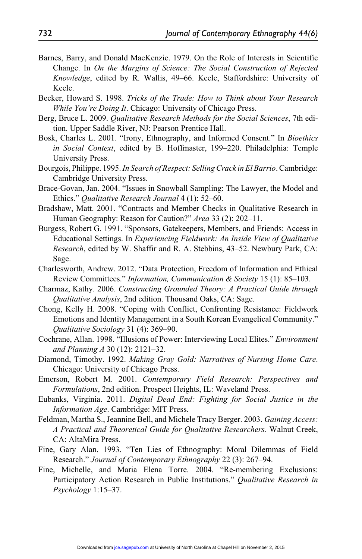- Barnes, Barry, and Donald MacKenzie. 1979. On the Role of Interests in Scientific Change. In *On the Margins of Science: The Social Construction of Rejected Knowledge*, edited by R. Wallis, 49–66. Keele, Staffordshire: University of Keele.
- Becker, Howard S. 1998. *Tricks of the Trade: How to Think about Your Research While You're Doing It*. Chicago: University of Chicago Press.
- Berg, Bruce L. 2009. *Qualitative Research Methods for the Social Sciences*, 7th edition. Upper Saddle River, NJ: Pearson Prentice Hall.
- Bosk, Charles L. 2001. "Irony, Ethnography, and Informed Consent." In *Bioethics in Social Context*, edited by B. Hoffmaster, 199–220. Philadelphia: Temple University Press.
- Bourgois, Philippe. 1995. *In Search of Respect: Selling Crack in El Barrio*. Cambridge: Cambridge University Press.
- Brace-Govan, Jan. 2004. "Issues in Snowball Sampling: The Lawyer, the Model and Ethics." *Qualitative Research Journal* 4 (1): 52–60.
- Bradshaw, Matt. 2001. "Contracts and Member Checks in Qualitative Research in Human Geography: Reason for Caution?" *Area* 33 (2): 202–11.
- Burgess, Robert G. 1991. "Sponsors, Gatekeepers, Members, and Friends: Access in Educational Settings. In *Experiencing Fieldwork: An Inside View of Qualitative Research*, edited by W. Shaffir and R. A. Stebbins, 43–52. Newbury Park, CA: Sage.
- Charlesworth, Andrew. 2012. "Data Protection, Freedom of Information and Ethical Review Committees." *Information, Communication & Society* 15 (1): 85–103.
- Charmaz, Kathy. 2006. *Constructing Grounded Theory: A Practical Guide through Qualitative Analysis*, 2nd edition. Thousand Oaks, CA: Sage.
- Chong, Kelly H. 2008. "Coping with Conflict, Confronting Resistance: Fieldwork Emotions and Identity Management in a South Korean Evangelical Community." *Qualitative Sociology* 31 (4): 369–90.
- Cochrane, Allan. 1998. "Illusions of Power: Interviewing Local Elites." *Environment and Planning A* 30 (12): 2121–32.
- Diamond, Timothy. 1992. *Making Gray Gold: Narratives of Nursing Home Care*. Chicago: University of Chicago Press.
- Emerson, Robert M. 2001. *Contemporary Field Research: Perspectives and Formulations*, 2nd edition. Prospect Heights, IL: Waveland Press.
- Eubanks, Virginia. 2011. *Digital Dead End: Fighting for Social Justice in the Information Age*. Cambridge: MIT Press.
- Feldman, Martha S., Jeannine Bell, and Michele Tracy Berger. 2003. *Gaining Access: A Practical and Theoretical Guide for Qualitative Researchers*. Walnut Creek, CA: AltaMira Press.
- Fine, Gary Alan. 1993. "Ten Lies of Ethnography: Moral Dilemmas of Field Research." *Journal of Contemporary Ethnography* 22 (3): 267–94.
- Fine, Michelle, and Maria Elena Torre. 2004. "Re-membering Exclusions: Participatory Action Research in Public Institutions." *Qualitative Research in Psychology* 1:15–37.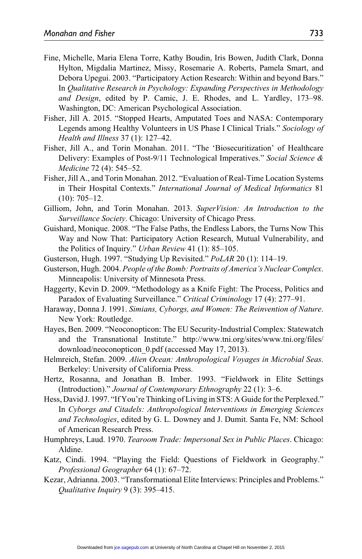- Fine, Michelle, Maria Elena Torre, Kathy Boudin, Iris Bowen, Judith Clark, Donna Hylton, Migdalia Martinez, Missy, Rosemarie A. Roberts, Pamela Smart, and Debora Upegui. 2003. "Participatory Action Research: Within and beyond Bars." In *Qualitative Research in Psychology: Expanding Perspectives in Methodology and Design*, edited by P. Camic, J. E. Rhodes, and L. Yardley, 173–98. Washington, DC: American Psychological Association.
- Fisher, Jill A. 2015. "Stopped Hearts, Amputated Toes and NASA: Contemporary Legends among Healthy Volunteers in US Phase I Clinical Trials." *Sociology of Health and Illness* 37 (1): 127–42.
- Fisher, Jill A., and Torin Monahan. 2011. "The 'Biosecuritization' of Healthcare Delivery: Examples of Post-9/11 Technological Imperatives." *Social Science & Medicine* 72 (4): 545–52.
- Fisher, Jill A., and Torin Monahan. 2012. "Evaluation of Real-Time Location Systems in Their Hospital Contexts." *International Journal of Medical Informatics* 81 (10): 705–12.
- Gilliom, John, and Torin Monahan. 2013. *SuperVision: An Introduction to the Surveillance Society*. Chicago: University of Chicago Press.
- Guishard, Monique. 2008. "The False Paths, the Endless Labors, the Turns Now This Way and Now That: Participatory Action Research, Mutual Vulnerability, and the Politics of Inquiry." *Urban Review* 41 (1): 85–105.
- Gusterson, Hugh. 1997. "Studying Up Revisited." *PoLAR* 20 (1): 114–19.
- Gusterson, Hugh. 2004. *People of the Bomb: Portraits of America's Nuclear Complex*. Minneapolis: University of Minnesota Press.
- Haggerty, Kevin D. 2009. "Methodology as a Knife Fight: The Process, Politics and Paradox of Evaluating Surveillance." *Critical Criminology* 17 (4): 277–91.
- Haraway, Donna J. 1991. *Simians, Cyborgs, and Women: The Reinvention of Nature*. New York: Routledge.
- Hayes, Ben. 2009. "Neoconopticon: The EU Security-Industrial Complex: Statewatch and the Transnational Institute." <http://www.tni.org/sites/>[www.tni.org/files/](www.tni.org/files/download/neoconopticon_0.pdf) [download/neoconopticon\\_0.pdf](www.tni.org/files/download/neoconopticon_0.pdf) (accessed May 17, 2013).
- Helmreich, Stefan. 2009. *Alien Ocean: Anthropological Voyages in Microbial Seas*. Berkeley: University of California Press.
- Hertz, Rosanna, and Jonathan B. Imber. 1993. "Fieldwork in Elite Settings (Introduction)." *Journal of Contemporary Ethnography* 22 (1): 3–6.
- Hess, David J. 1997. "If You're Thinking of Living in STS: A Guide for the Perplexed." In *Cyborgs and Citadels: Anthropological Interventions in Emerging Sciences and Technologies*, edited by G. L. Downey and J. Dumit. Santa Fe, NM: School of American Research Press.
- Humphreys, Laud. 1970. *Tearoom Trade: Impersonal Sex in Public Places*. Chicago: Aldine.
- Katz, Cindi. 1994. "Playing the Field: Questions of Fieldwork in Geography." *Professional Geographer* 64 (1): 67–72.
- Kezar, Adrianna. 2003. "Transformational Elite Interviews: Principles and Problems." *Qualitative Inquiry* 9 (3): 395–415.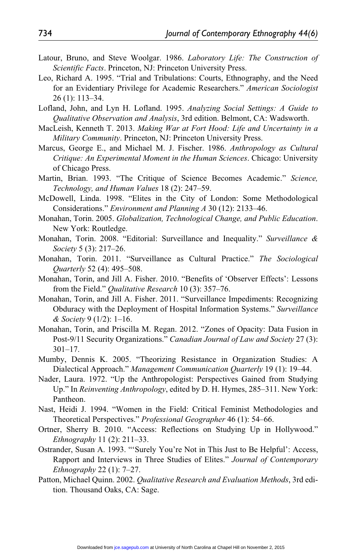- Latour, Bruno, and Steve Woolgar. 1986. *Laboratory Life: The Construction of Scientific Facts*. Princeton, NJ: Princeton University Press.
- Leo, Richard A. 1995. "Trial and Tribulations: Courts, Ethnography, and the Need for an Evidentiary Privilege for Academic Researchers." *American Sociologist* 26 (1): 113–34.
- Lofland, John, and Lyn H. Lofland. 1995. *Analyzing Social Settings: A Guide to Qualitative Observation and Analysis*, 3rd edition. Belmont, CA: Wadsworth.
- MacLeish, Kenneth T. 2013. *Making War at Fort Hood: Life and Uncertainty in a Military Community*. Princeton, NJ: Princeton University Press.
- Marcus, George E., and Michael M. J. Fischer. 1986. *Anthropology as Cultural Critique: An Experimental Moment in the Human Sciences*. Chicago: University of Chicago Press.
- Martin, Brian. 1993. "The Critique of Science Becomes Academic." *Science, Technology, and Human Values* 18 (2): 247–59.
- McDowell, Linda. 1998. "Elites in the City of London: Some Methodological Considerations." *Environment and Planning A* 30 (12): 2133–46.
- Monahan, Torin. 2005. *Globalization, Technological Change, and Public Education*. New York: Routledge.
- Monahan, Torin. 2008. "Editorial: Surveillance and Inequality." *Surveillance & Society* 5 (3): 217–26.
- Monahan, Torin. 2011. "Surveillance as Cultural Practice." *The Sociological Quarterly* 52 (4): 495–508.
- Monahan, Torin, and Jill A. Fisher. 2010. "Benefits of 'Observer Effects': Lessons from the Field." *Qualitative Research* 10 (3): 357–76.
- Monahan, Torin, and Jill A. Fisher. 2011. "Surveillance Impediments: Recognizing Obduracy with the Deployment of Hospital Information Systems." *Surveillance & Society* 9 (1/2): 1–16.
- Monahan, Torin, and Priscilla M. Regan. 2012. "Zones of Opacity: Data Fusion in Post-9/11 Security Organizations." *Canadian Journal of Law and Society* 27 (3): 301–17.
- Mumby, Dennis K. 2005. "Theorizing Resistance in Organization Studies: A Dialectical Approach." *Management Communication Quarterly* 19 (1): 19–44.
- Nader, Laura. 1972. "Up the Anthropologist: Perspectives Gained from Studying Up." In *Reinventing Anthropology*, edited by D. H. Hymes, 285–311. New York: Pantheon.
- Nast, Heidi J. 1994. "Women in the Field: Critical Feminist Methodologies and Theoretical Perspectives." *Professional Geographer* 46 (1): 54–66.
- Ortner, Sherry B. 2010. "Access: Reflections on Studying Up in Hollywood." *Ethnography* 11 (2): 211–33.
- Ostrander, Susan A. 1993. "'Surely You're Not in This Just to Be Helpful': Access, Rapport and Interviews in Three Studies of Elites." *Journal of Contemporary Ethnography* 22 (1): 7–27.
- Patton, Michael Quinn. 2002. *Qualitative Research and Evaluation Methods*, 3rd edition. Thousand Oaks, CA: Sage.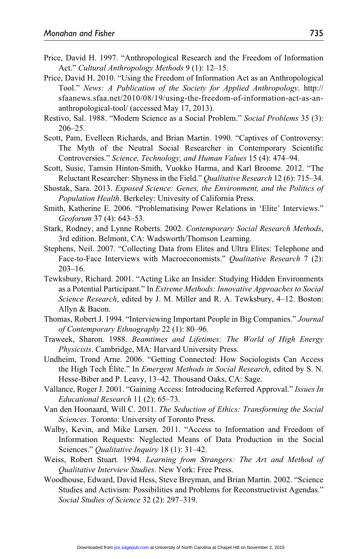- Price, David H. 1997. "Anthropological Research and the Freedom of Information Act." *Cultural Anthropology Methods* 9 (1): 12–15.
- Price, David H. 2010. "Using the Freedom of Information Act as an Anthropological Tool." *News: A Publication of the Society for Applied Anthropology*. [http://](http://sfaanews.sfaa.net/2010/08/19/using-the-freedom-of-information-act-as-an-anthropological-tool/) [sfaanews.sfaa.net/2010/08/19/using-the-freedom-of-information-act-as-an](http://sfaanews.sfaa.net/2010/08/19/using-the-freedom-of-information-act-as-an-anthropological-tool/)[anthropological-tool/](http://sfaanews.sfaa.net/2010/08/19/using-the-freedom-of-information-act-as-an-anthropological-tool/) (accessed May 17, 2013).
- Restivo, Sal. 1988. "Modern Science as a Social Problem." *Social Problems* 35 (3): 206–25.
- Scott, Pam, Evelleen Richards, and Brian Martin. 1990. "Captives of Controversy: The Myth of the Neutral Social Researcher in Contemporary Scientific Controversies." *Science, Technology, and Human Values* 15 (4): 474–94.
- Scott, Susie, Tamsin Hinton-Smith, Vuokko Harma, and Karl Broome. 2012. "The Reluctant Researcher: Shyness in the Field." *Qualitative Research* 12 (6): 715–34.
- Shostak, Sara. 2013. *Exposed Science: Genes, the Environment, and the Politics of Population Health*. Berkeley: Univesity of California Press.
- Smith, Katherine E. 2006. "Problematising Power Relations in 'Elite' Interviews." *Geoforum* 37 (4): 643–53.
- Stark, Rodney, and Lynne Roberts. 2002. *Contemporary Social Research Methods*, 3rd edition. Belmont, CA: Wadsworth/Thomson Learning.
- Stephens, Neil. 2007. "Collecting Data from Elites and Ultra Elites: Telephone and Face-to-Face Interviews with Macroeconomists." *Qualitative Research* 7 (2): 203–16.
- Tewksbury, Richard. 2001. "Acting Like an Insider: Studying Hidden Environments as a Potential Participant." In *Extreme Methods: Innovative Approaches to Social Science Research*, edited by J. M. Miller and R. A. Tewksbury, 4–12. Boston: Allyn & Bacon.
- Thomas, Robert J. 1994. "Interviewing Important People in Big Companies." *Journal of Contemporary Ethnography* 22 (1): 80–96.
- Traweek, Sharon. 1988. *Beamtimes and Lifetimes: The World of High Energy Physicists*. Cambridge, MA: Harvard University Press.
- Undheim, Trond Arne. 2006. "Getting Connected: How Sociologists Can Access the High Tech Élite." In *Emergent Methods in Social Research*, edited by S. N. Hesse-Biber and P. Leavy, 13–42. Thousand Oaks, CA: Sage.
- Vallance, Roger J. 2001. "Gaining Access: Introducing Referred Approval." *Issues In Educational Research* 11 (2): 65–73.
- Van den Hoonaard, Will C. 2011. *The Seduction of Ethics: Transforming the Social Sciences*. Toronto: University of Toronto Press.
- Walby, Kevin, and Mike Larsen. 2011. "Access to Information and Freedom of Information Requests: Neglected Means of Data Production in the Social Sciences." *Qualitative Inquiry* 18 (1): 31–42.
- Weiss, Robert Stuart. 1994. *Learning from Strangers: The Art and Method of Qualitative Interview Studies*. New York: Free Press.
- Woodhouse, Edward, David Hess, Steve Breyman, and Brian Martin. 2002. "Science Studies and Activism: Possibilities and Problems for Reconstructivist Agendas." *Social Studies of Science* 32 (2): 297–319.